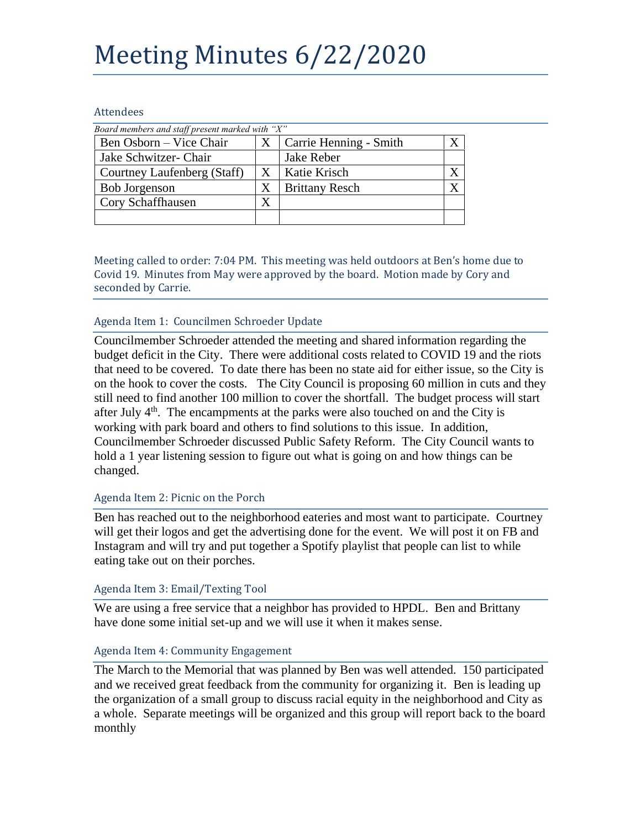# Meeting Minutes 6/22/2020

### Attendees

| Board members and staff present marked with "X" |   |                        |  |
|-------------------------------------------------|---|------------------------|--|
| Ben Osborn – Vice Chair                         | X | Carrie Henning - Smith |  |
| Jake Schwitzer- Chair                           |   | Jake Reber             |  |
| Courtney Laufenberg (Staff)                     | X | Katie Krisch           |  |
| <b>Bob Jorgenson</b>                            | X | <b>Brittany Resch</b>  |  |
| Cory Schaffhausen                               | X |                        |  |
|                                                 |   |                        |  |

Meeting called to order: 7:04 PM. This meeting was held outdoors at Ben's home due to Covid 19. Minutes from May were approved by the board. Motion made by Cory and seconded by Carrie.

## Agenda Item 1: Councilmen Schroeder Update

Councilmember Schroeder attended the meeting and shared information regarding the budget deficit in the City. There were additional costs related to COVID 19 and the riots that need to be covered. To date there has been no state aid for either issue, so the City is on the hook to cover the costs. The City Council is proposing 60 million in cuts and they still need to find another 100 million to cover the shortfall. The budget process will start after July  $4<sup>th</sup>$ . The encampments at the parks were also touched on and the City is working with park board and others to find solutions to this issue. In addition, Councilmember Schroeder discussed Public Safety Reform. The City Council wants to hold a 1 year listening session to figure out what is going on and how things can be changed.

## Agenda Item 2: Picnic on the Porch

Ben has reached out to the neighborhood eateries and most want to participate. Courtney will get their logos and get the advertising done for the event. We will post it on FB and Instagram and will try and put together a Spotify playlist that people can list to while eating take out on their porches.

### Agenda Item 3: Email/Texting Tool

We are using a free service that a neighbor has provided to HPDL. Ben and Brittany have done some initial set-up and we will use it when it makes sense.

## Agenda Item 4: Community Engagement

The March to the Memorial that was planned by Ben was well attended. 150 participated and we received great feedback from the community for organizing it. Ben is leading up the organization of a small group to discuss racial equity in the neighborhood and City as a whole. Separate meetings will be organized and this group will report back to the board monthly